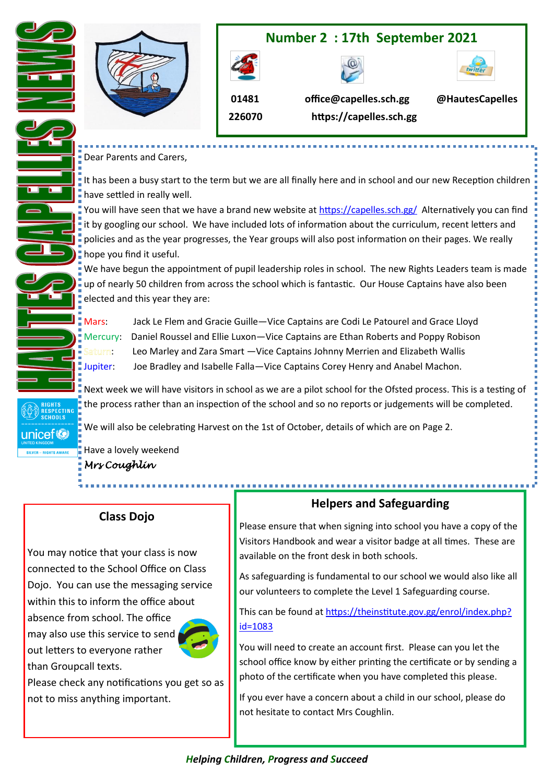

# **Number 2 : 17th September 2021**





 **226070**

 **01481 office@capelles.sch.gg @HautesCapelles https://capelles.sch.gg**

## Dear Parents and Carers,

It has been a busy start to the term but we are all finally here and in school and our new Reception children have settled in really well.

You will have seen that we have a brand new website at <https://capelles.sch.gg/>Alternatively you can find it by googling our school. We have included lots of information about the curriculum, recent letters and  $\parallel$  policies and as the year progresses, the Year groups will also post information on their pages. We really hope you find it useful.

We have begun the appointment of pupil leadership roles in school. The new Rights Leaders team is made up of nearly 50 children from across the school which is fantastic. Our House Captains have also been elected and this year they are:

Mars: Jack Le Flem and Gracie Guille—Vice Captains are Codi Le Patourel and Grace Lloyd Mercury: Daniel Roussel and Ellie Luxon—Vice Captains are Ethan Roberts and Poppy Robison **E** Saturn: Leo Marley and Zara Smart —Vice Captains Johnny Merrien and Elizabeth Wallis Jupiter: Joe Bradley and Isabelle Falla—Vice Captains Corey Henry and Anabel Machon.

Next week we will have visitors in school as we are a pilot school for the Ofsted process. This is a testing of the process rather than an inspection of the school and so no reports or judgements will be completed.

We will also be celebrating Harvest on the 1st of October, details of which are on Page 2.

Have a lovely weekend

*Mrs Coughlin* 

RIGHTS<br>RESPECTING<br>SCHOOLS

unicef<sup>®</sup>

# **Class Dojo**

You may notice that your class is now connected to the School Office on Class Dojo. You can use the messaging service within this to inform the office about absence from school. The office may also use this service to send out letters to everyone rather than Groupcall texts.



Please check any notifications you get so as not to miss anything important.

# **Helpers and Safeguarding**

Please ensure that when signing into school you have a copy of the Visitors Handbook and wear a visitor badge at all times. These are available on the front desk in both schools.

As safeguarding is fundamental to our school we would also like all our volunteers to complete the Level 1 Safeguarding course.

This can be found at [https://theinstitute.gov.gg/enrol/index.php?](https://theinstitute.gov.gg/enrol/index.php?id=1083) [id=1083](https://theinstitute.gov.gg/enrol/index.php?id=1083)

You will need to create an account first. Please can you let the school office know by either printing the certificate or by sending a photo of the certificate when you have completed this please.

If you ever have a concern about a child in our school, please do not hesitate to contact Mrs Coughlin.